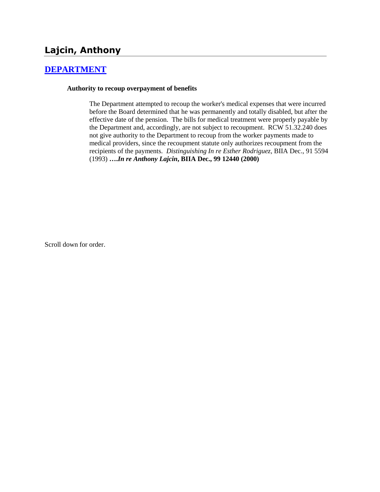# **Lajcin, Anthony**

## **[DEPARTMENT](http://www.biia.wa.gov/SDSubjectIndex.html#DEPARTMENT)**

### **Authority to recoup overpayment of benefits**

The Department attempted to recoup the worker's medical expenses that were incurred before the Board determined that he was permanently and totally disabled, but after the effective date of the pension. The bills for medical treatment were properly payable by the Department and, accordingly, are not subject to recoupment. RCW 51.32.240 does not give authority to the Department to recoup from the worker payments made to medical providers, since the recoupment statute only authorizes recoupment from the recipients of the payments. *Distinguishing In re Esther Rodriguez,* BIIA Dec., 91 5594 (1993) **….***In re Anthony Lajcin***, BIIA Dec., 99 12440 (2000)** 

Scroll down for order.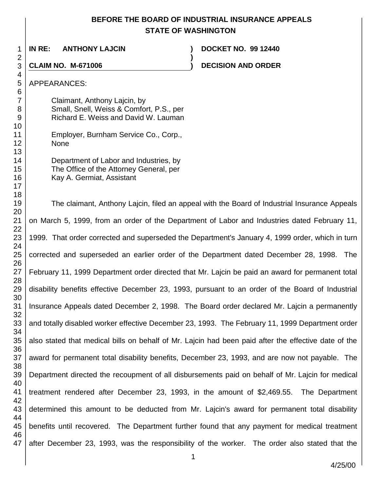# **BEFORE THE BOARD OF INDUSTRIAL INSURANCE APPEALS STATE OF WASHINGTON**

**)**

 **IN RE: ANTHONY LAJCIN ) DOCKET NO. 99 12440**

**CLAIM NO. M-671006 ) DECISION AND ORDER** 

### APPEARANCES:

Claimant, Anthony Lajcin, by Small, Snell, Weiss & Comfort, P.S., per Richard E. Weiss and David W. Lauman

|             | Employer, Burnham Service Co., Corp., |  |
|-------------|---------------------------------------|--|
| <b>None</b> |                                       |  |

| Department of Labor and Industries, by  |
|-----------------------------------------|
| The Office of the Attorney General, per |
| Kay A. Germiat, Assistant               |

 The claimant, Anthony Lajcin, filed an appeal with the Board of Industrial Insurance Appeals on March 5, 1999, from an order of the Department of Labor and Industries dated February 11, 1999. That order corrected and superseded the Department's January 4, 1999 order, which in turn corrected and superseded an earlier order of the Department dated December 28, 1998. The February 11, 1999 Department order directed that Mr. Lajcin be paid an award for permanent total disability benefits effective December 23, 1993, pursuant to an order of the Board of Industrial Insurance Appeals dated December 2, 1998. The Board order declared Mr. Lajcin a permanently and totally disabled worker effective December 23, 1993. The February 11, 1999 Department order also stated that medical bills on behalf of Mr. Lajcin had been paid after the effective date of the award for permanent total disability benefits, December 23, 1993, and are now not payable. The Department directed the recoupment of all disbursements paid on behalf of Mr. Lajcin for medical treatment rendered after December 23, 1993, in the amount of \$2,469.55. The Department determined this amount to be deducted from Mr. Lajcin's award for permanent total disability benefits until recovered. The Department further found that any payment for medical treatment after December 23, 1993, was the responsibility of the worker. The order also stated that the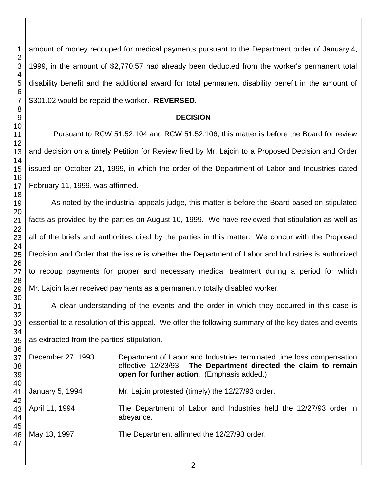amount of money recouped for medical payments pursuant to the Department order of January 4, 1999, in the amount of \$2,770.57 had already been deducted from the worker's permanent total disability benefit and the additional award for total permanent disability benefit in the amount of \$301.02 would be repaid the worker. **REVERSED.**

### **DECISION**

Pursuant to RCW 51.52.104 and RCW 51.52.106, this matter is before the Board for review and decision on a timely Petition for Review filed by Mr. Lajcin to a Proposed Decision and Order issued on October 21, 1999, in which the order of the Department of Labor and Industries dated February 11, 1999, was affirmed.

As noted by the industrial appeals judge, this matter is before the Board based on stipulated facts as provided by the parties on August 10, 1999. We have reviewed that stipulation as well as all of the briefs and authorities cited by the parties in this matter. We concur with the Proposed Decision and Order that the issue is whether the Department of Labor and Industries is authorized to recoup payments for proper and necessary medical treatment during a period for which Mr. Lajcin later received payments as a permanently totally disabled worker.

A clear understanding of the events and the order in which they occurred in this case is essential to a resolution of this appeal. We offer the following summary of the key dates and events as extracted from the parties' stipulation.

December 27, 1993 Department of Labor and Industries terminated time loss compensation effective 12/23/93. **The Department directed the claim to remain open for further action**. (Emphasis added.) January 5, 1994 Mr. Lajcin protested (timely) the 12/27/93 order.

April 11, 1994 The Department of Labor and Industries held the 12/27/93 order in abeyance.

May 13, 1997 The Department affirmed the 12/27/93 order.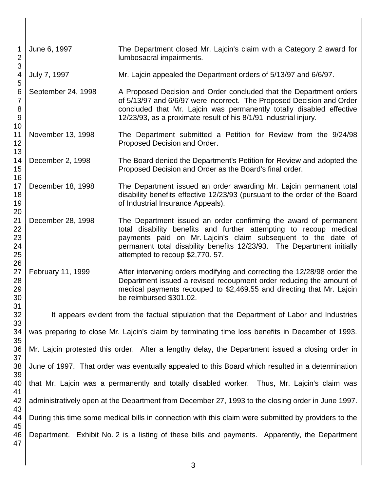| 1<br>$\overline{2}$<br>3              | June 6, 1997                                                                                         | The Department closed Mr. Lajcin's claim with a Category 2 award for<br>lumbosacral impairments.                                                                                                                                                                                                                      |  |
|---------------------------------------|------------------------------------------------------------------------------------------------------|-----------------------------------------------------------------------------------------------------------------------------------------------------------------------------------------------------------------------------------------------------------------------------------------------------------------------|--|
| 4<br>5                                | July 7, 1997                                                                                         | Mr. Lajcin appealed the Department orders of 5/13/97 and 6/6/97.                                                                                                                                                                                                                                                      |  |
| 6<br>7<br>8<br>$\boldsymbol{9}$<br>10 | September 24, 1998                                                                                   | A Proposed Decision and Order concluded that the Department orders<br>of 5/13/97 and 6/6/97 were incorrect. The Proposed Decision and Order<br>concluded that Mr. Lajcin was permanently totally disabled effective<br>12/23/93, as a proximate result of his 8/1/91 industrial injury.                               |  |
| 11<br>12<br>13                        | November 13, 1998                                                                                    | The Department submitted a Petition for Review from the 9/24/98<br>Proposed Decision and Order.                                                                                                                                                                                                                       |  |
| 14<br>15<br>16                        | December 2, 1998                                                                                     | The Board denied the Department's Petition for Review and adopted the<br>Proposed Decision and Order as the Board's final order.                                                                                                                                                                                      |  |
| 17<br>18<br>19<br>20                  | December 18, 1998                                                                                    | The Department issued an order awarding Mr. Lajcin permanent total<br>disability benefits effective 12/23/93 (pursuant to the order of the Board<br>of Industrial Insurance Appeals).                                                                                                                                 |  |
| 21<br>22<br>23<br>24<br>25<br>26      | December 28, 1998                                                                                    | The Department issued an order confirming the award of permanent<br>total disability benefits and further attempting to recoup medical<br>payments paid on Mr. Lajcin's claim subsequent to the date of<br>permanent total disability benefits 12/23/93. The Department initially<br>attempted to recoup \$2,770. 57. |  |
| 27<br>28<br>29<br>30<br>31            | February 11, 1999                                                                                    | After intervening orders modifying and correcting the 12/28/98 order the<br>Department issued a revised recoupment order reducing the amount of<br>medical payments recouped to \$2,469.55 and directing that Mr. Lajcin<br>be reimbursed \$301.02.                                                                   |  |
| 32<br>33                              | It appears evident from the factual stipulation that the Department of Labor and Industries          |                                                                                                                                                                                                                                                                                                                       |  |
| 34<br>35                              | was preparing to close Mr. Lajcin's claim by terminating time loss benefits in December of 1993.     |                                                                                                                                                                                                                                                                                                                       |  |
| 36<br>37                              | Mr. Lajcin protested this order. After a lengthy delay, the Department issued a closing order in     |                                                                                                                                                                                                                                                                                                                       |  |
| 38<br>39                              | June of 1997. That order was eventually appealed to this Board which resulted in a determination     |                                                                                                                                                                                                                                                                                                                       |  |
| 40<br>41                              | that Mr. Lajcin was a permanently and totally disabled worker. Thus, Mr. Lajcin's claim was          |                                                                                                                                                                                                                                                                                                                       |  |
| 42<br>43                              | administratively open at the Department from December 27, 1993 to the closing order in June 1997.    |                                                                                                                                                                                                                                                                                                                       |  |
| 44<br>45                              | During this time some medical bills in connection with this claim were submitted by providers to the |                                                                                                                                                                                                                                                                                                                       |  |
| 46<br>47                              |                                                                                                      | Department. Exhibit No. 2 is a listing of these bills and payments. Apparently, the Department                                                                                                                                                                                                                        |  |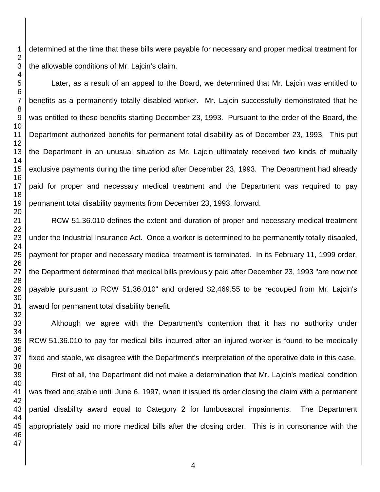determined at the time that these bills were payable for necessary and proper medical treatment for the allowable conditions of Mr. Lajcin's claim.

Later, as a result of an appeal to the Board, we determined that Mr. Lajcin was entitled to benefits as a permanently totally disabled worker. Mr. Lajcin successfully demonstrated that he was entitled to these benefits starting December 23, 1993. Pursuant to the order of the Board, the Department authorized benefits for permanent total disability as of December 23, 1993. This put the Department in an unusual situation as Mr. Lajcin ultimately received two kinds of mutually exclusive payments during the time period after December 23, 1993. The Department had already paid for proper and necessary medical treatment and the Department was required to pay permanent total disability payments from December 23, 1993, forward.

RCW 51.36.010 defines the extent and duration of proper and necessary medical treatment under the Industrial Insurance Act. Once a worker is determined to be permanently totally disabled, payment for proper and necessary medical treatment is terminated. In its February 11, 1999 order, the Department determined that medical bills previously paid after December 23, 1993 "are now not payable pursuant to RCW 51.36.010" and ordered \$2,469.55 to be recouped from Mr. Lajcin's award for permanent total disability benefit.

Although we agree with the Department's contention that it has no authority under RCW 51.36.010 to pay for medical bills incurred after an injured worker is found to be medically fixed and stable, we disagree with the Department's interpretation of the operative date in this case.

First of all, the Department did not make a determination that Mr. Lajcin's medical condition was fixed and stable until June 6, 1997, when it issued its order closing the claim with a permanent partial disability award equal to Category 2 for lumbosacral impairments. The Department appropriately paid no more medical bills after the closing order. This is in consonance with the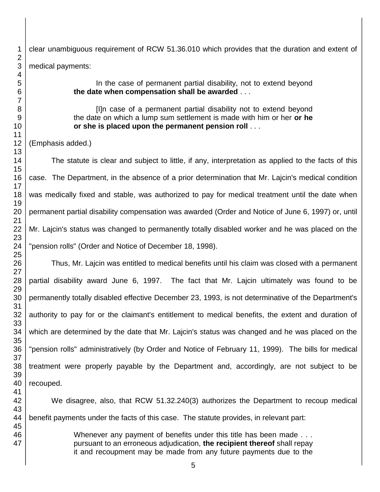clear unambiguous requirement of RCW 51.36.010 which provides that the duration and extent of medical payments:

> In the case of permanent partial disability, not to extend beyond **the date when compensation shall be awarded** . . .

> [I]n case of a permanent partial disability not to extend beyond the date on which a lump sum settlement is made with him or her **or he or she is placed upon the permanent pension roll** . . .

(Emphasis added.)

The statute is clear and subject to little, if any, interpretation as applied to the facts of this case. The Department, in the absence of a prior determination that Mr. Lajcin's medical condition was medically fixed and stable, was authorized to pay for medical treatment until the date when permanent partial disability compensation was awarded (Order and Notice of June 6, 1997) or, until Mr. Lajcin's status was changed to permanently totally disabled worker and he was placed on the "pension rolls" (Order and Notice of December 18, 1998).

Thus, Mr. Lajcin was entitled to medical benefits until his claim was closed with a permanent partial disability award June 6, 1997. The fact that Mr. Lajcin ultimately was found to be permanently totally disabled effective December 23, 1993, is not determinative of the Department's authority to pay for or the claimant's entitlement to medical benefits, the extent and duration of which are determined by the date that Mr. Lajcin's status was changed and he was placed on the "pension rolls" administratively (by Order and Notice of February 11, 1999). The bills for medical treatment were properly payable by the Department and, accordingly, are not subject to be recouped.

We disagree, also, that RCW 51.32.240(3) authorizes the Department to recoup medical benefit payments under the facts of this case. The statute provides, in relevant part: Whenever any payment of benefits under this title has been made . . .

pursuant to an erroneous adjudication, **the recipient thereof** shall repay it and recoupment may be made from any future payments due to the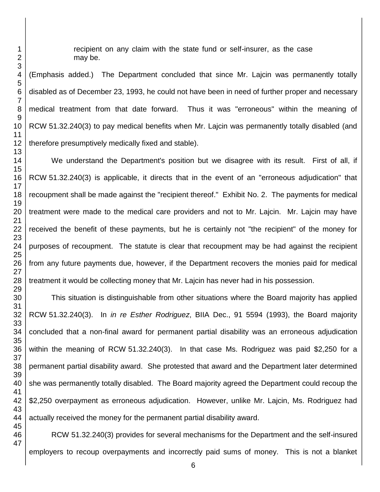recipient on any claim with the state fund or self-insurer, as the case may be.

(Emphasis added.) The Department concluded that since Mr. Lajcin was permanently totally disabled as of December 23, 1993, he could not have been in need of further proper and necessary medical treatment from that date forward. Thus it was "erroneous" within the meaning of RCW 51.32.240(3) to pay medical benefits when Mr. Lajcin was permanently totally disabled (and therefore presumptively medically fixed and stable).

We understand the Department's position but we disagree with its result. First of all, if RCW 51.32.240(3) is applicable, it directs that in the event of an "erroneous adjudication" that recoupment shall be made against the "recipient thereof." Exhibit No. 2. The payments for medical treatment were made to the medical care providers and not to Mr. Lajcin. Mr. Lajcin may have received the benefit of these payments, but he is certainly not "the recipient" of the money for purposes of recoupment. The statute is clear that recoupment may be had against the recipient from any future payments due, however, if the Department recovers the monies paid for medical treatment it would be collecting money that Mr. Lajcin has never had in his possession.

This situation is distinguishable from other situations where the Board majority has applied RCW 51.32.240(3). In *in re Esther Rodriguez*, BIIA Dec., 91 5594 (1993), the Board majority concluded that a non-final award for permanent partial disability was an erroneous adjudication within the meaning of RCW 51.32.240(3). In that case Ms. Rodriguez was paid \$2,250 for a permanent partial disability award. She protested that award and the Department later determined she was permanently totally disabled. The Board majority agreed the Department could recoup the \$2,250 overpayment as erroneous adjudication. However, unlike Mr. Lajcin, Ms. Rodriguez had actually received the money for the permanent partial disability award.

RCW 51.32.240(3) provides for several mechanisms for the Department and the self-insured employers to recoup overpayments and incorrectly paid sums of money. This is not a blanket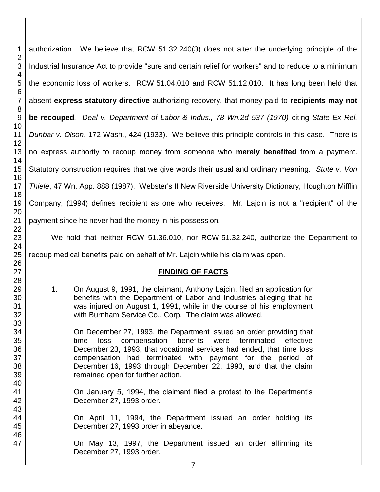authorization. We believe that RCW 51.32.240(3) does not alter the underlying principle of the Industrial Insurance Act to provide "sure and certain relief for workers" and to reduce to a minimum the economic loss of workers. RCW 51.04.010 and RCW 51.12.010. It has long been held that absent **express statutory directive** authorizing recovery, that money paid to **recipients may not be recouped***. Deal v. Department of Labor & Indus., 78 Wn.2d 537 (1970)* citing *State Ex Rel. Dunbar v. Olson*, 172 Wash., 424 (1933). We believe this principle controls in this case. There is no express authority to recoup money from someone who **merely benefited** from a payment. Statutory construction requires that we give words their usual and ordinary meaning. *Stute v. Von Thiele*, 47 Wn. App. 888 (1987). Webster's II New Riverside University Dictionary, Houghton Mifflin Company, (1994) defines recipient as one who receives. Mr. Lajcin is not a "recipient" of the payment since he never had the money in his possession.

We hold that neither RCW 51.36.010, nor RCW 51.32.240, authorize the Department to

recoup medical benefits paid on behalf of Mr. Lajcin while his claim was open.

# **FINDING OF FACTS**

1. On August 9, 1991, the claimant, Anthony Lajcin, filed an application for benefits with the Department of Labor and Industries alleging that he was injured on August 1, 1991, while in the course of his employment with Burnham Service Co., Corp. The claim was allowed.

On December 27, 1993, the Department issued an order providing that time loss compensation benefits were terminated effective December 23, 1993, that vocational services had ended, that time loss compensation had terminated with payment for the period of December 16, 1993 through December 22, 1993, and that the claim remained open for further action.

On January 5, 1994, the claimant filed a protest to the Department's December 27, 1993 order.

On April 11, 1994, the Department issued an order holding its December 27, 1993 order in abeyance.

On May 13, 1997, the Department issued an order affirming its December 27, 1993 order.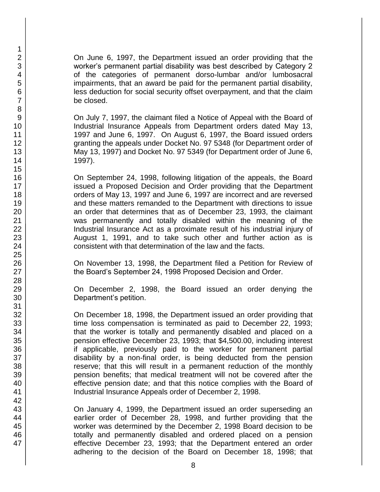On June 6, 1997, the Department issued an order providing that the worker's permanent partial disability was best described by Category 2 of the categories of permanent dorso-lumbar and/or lumbosacral impairments, that an award be paid for the permanent partial disability, less deduction for social security offset overpayment, and that the claim be closed.

On July 7, 1997, the claimant filed a Notice of Appeal with the Board of Industrial Insurance Appeals from Department orders dated May 13, 1997 and June 6, 1997. On August 6, 1997, the Board issued orders granting the appeals under Docket No. 97 5348 (for Department order of May 13, 1997) and Docket No. 97 5349 (for Department order of June 6, 1997).

On September 24, 1998, following litigation of the appeals, the Board issued a Proposed Decision and Order providing that the Department orders of May 13, 1997 and June 6, 1997 are incorrect and are reversed and these matters remanded to the Department with directions to issue an order that determines that as of December 23, 1993, the claimant was permanently and totally disabled within the meaning of the Industrial Insurance Act as a proximate result of his industrial injury of August 1, 1991, and to take such other and further action as is consistent with that determination of the law and the facts.

On November 13, 1998, the Department filed a Petition for Review of the Board's September 24, 1998 Proposed Decision and Order.

On December 2, 1998, the Board issued an order denying the Department's petition.

On December 18, 1998, the Department issued an order providing that time loss compensation is terminated as paid to December 22, 1993; that the worker is totally and permanently disabled and placed on a pension effective December 23, 1993; that \$4,500.00, including interest if applicable, previously paid to the worker for permanent partial disability by a non-final order, is being deducted from the pension reserve; that this will result in a permanent reduction of the monthly pension benefits; that medical treatment will not be covered after the effective pension date; and that this notice complies with the Board of Industrial Insurance Appeals order of December 2, 1998.

On January 4, 1999, the Department issued an order superseding an earlier order of December 28, 1998, and further providing that the worker was determined by the December 2, 1998 Board decision to be totally and permanently disabled and ordered placed on a pension effective December 23, 1993; that the Department entered an order adhering to the decision of the Board on December 18, 1998; that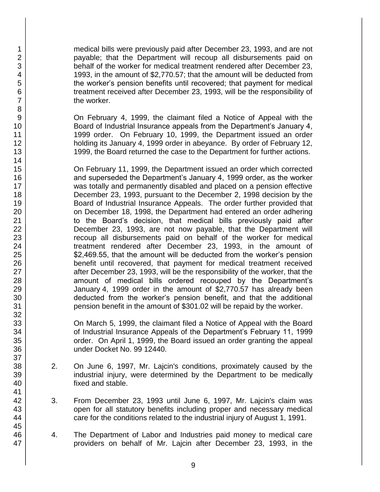medical bills were previously paid after December 23, 1993, and are not payable; that the Department will recoup all disbursements paid on behalf of the worker for medical treatment rendered after December 23, 1993, in the amount of \$2,770.57; that the amount will be deducted from the worker's pension benefits until recovered; that payment for medical treatment received after December 23, 1993, will be the responsibility of the worker.

On February 4, 1999, the claimant filed a Notice of Appeal with the Board of Industrial Insurance appeals from the Department's January 4, 1999 order. On February 10, 1999, the Department issued an order holding its January 4, 1999 order in abeyance. By order of February 12, 1999, the Board returned the case to the Department for further actions.

On February 11, 1999, the Department issued an order which corrected and superseded the Department's January 4, 1999 order, as the worker was totally and permanently disabled and placed on a pension effective December 23, 1993, pursuant to the December 2, 1998 decision by the Board of Industrial Insurance Appeals. The order further provided that on December 18, 1998, the Department had entered an order adhering to the Board's decision, that medical bills previously paid after December 23, 1993, are not now payable, that the Department will recoup all disbursements paid on behalf of the worker for medical treatment rendered after December 23, 1993, in the amount of \$2,469.55, that the amount will be deducted from the worker's pension benefit until recovered, that payment for medical treatment received after December 23, 1993, will be the responsibility of the worker, that the amount of medical bills ordered recouped by the Department's January 4, 1999 order in the amount of \$2,770.57 has already been deducted from the worker's pension benefit, and that the additional pension benefit in the amount of \$301.02 will be repaid by the worker.

On March 5, 1999, the claimant filed a Notice of Appeal with the Board of Industrial Insurance Appeals of the Department's February 11, 1999 order. On April 1, 1999, the Board issued an order granting the appeal under Docket No. 99 12440.

- 2. On June 6, 1997, Mr. Lajcin's conditions, proximately caused by the industrial injury, were determined by the Department to be medically fixed and stable.
- 3. From December 23, 1993 until June 6, 1997, Mr. Lajcin's claim was open for all statutory benefits including proper and necessary medical care for the conditions related to the industrial injury of August 1, 1991.
- 4. The Department of Labor and Industries paid money to medical care providers on behalf of Mr. Lajcin after December 23, 1993, in the

47